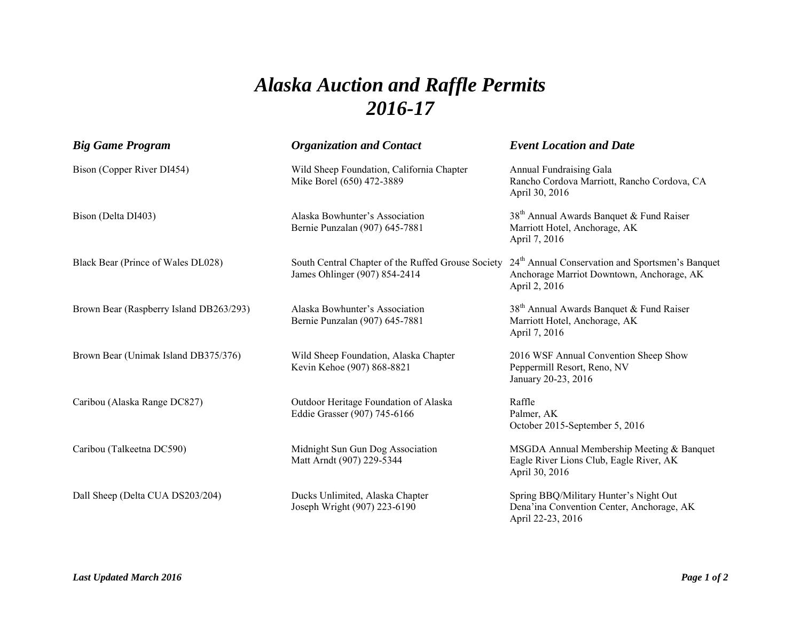## *Alaska Auction and Raffle Permits 2016-17*

| <b>Big Game Program</b>                 | <b>Organization and Contact</b>                                                     | <b>Event Location and Date</b>                                                                                             |
|-----------------------------------------|-------------------------------------------------------------------------------------|----------------------------------------------------------------------------------------------------------------------------|
| Bison (Copper River DI454)              | Wild Sheep Foundation, California Chapter<br>Mike Borel (650) 472-3889              | Annual Fundraising Gala<br>Rancho Cordova Marriott, Rancho Cordova, CA<br>April 30, 2016                                   |
| Bison (Delta DI403)                     | Alaska Bowhunter's Association<br>Bernie Punzalan (907) 645-7881                    | 38 <sup>th</sup> Annual Awards Banquet & Fund Raiser<br>Marriott Hotel, Anchorage, AK<br>April 7, 2016                     |
| Black Bear (Prince of Wales DL028)      | South Central Chapter of the Ruffed Grouse Society<br>James Ohlinger (907) 854-2414 | 24 <sup>th</sup> Annual Conservation and Sportsmen's Banquet<br>Anchorage Marriot Downtown, Anchorage, AK<br>April 2, 2016 |
| Brown Bear (Raspberry Island DB263/293) | Alaska Bowhunter's Association<br>Bernie Punzalan (907) 645-7881                    | 38 <sup>th</sup> Annual Awards Banquet & Fund Raiser<br>Marriott Hotel, Anchorage, AK<br>April 7, 2016                     |
| Brown Bear (Unimak Island DB375/376)    | Wild Sheep Foundation, Alaska Chapter<br>Kevin Kehoe (907) 868-8821                 | 2016 WSF Annual Convention Sheep Show<br>Peppermill Resort, Reno, NV<br>January 20-23, 2016                                |
| Caribou (Alaska Range DC827)            | Outdoor Heritage Foundation of Alaska<br>Eddie Grasser (907) 745-6166               | Raffle<br>Palmer, AK<br>October 2015-September 5, 2016                                                                     |
| Caribou (Talkeetna DC590)               | Midnight Sun Gun Dog Association<br>Matt Arndt (907) 229-5344                       | MSGDA Annual Membership Meeting & Banquet<br>Eagle River Lions Club, Eagle River, AK<br>April 30, 2016                     |
| Dall Sheep (Delta CUA DS203/204)        | Ducks Unlimited, Alaska Chapter<br>Joseph Wright (907) 223-6190                     | Spring BBQ/Military Hunter's Night Out<br>Dena'ina Convention Center, Anchorage, AK<br>April 22-23, 2016                   |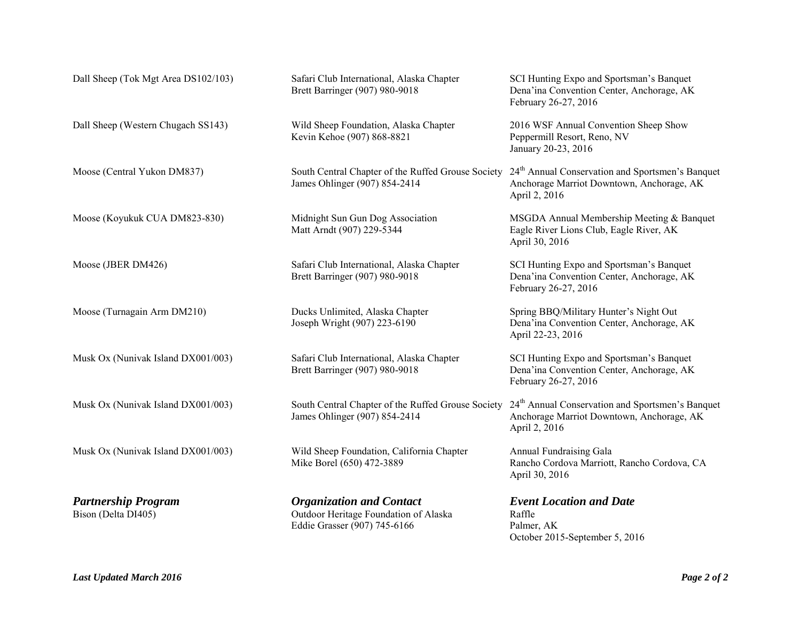| Dall Sheep (Tok Mgt Area DS102/103)               | Safari Club International, Alaska Chapter<br>Brett Barringer (907) 980-9018                              | SCI Hunting Expo and Sportsman's Banquet<br>Dena'ina Convention Center, Anchorage, AK<br>February 26-27, 2016              |
|---------------------------------------------------|----------------------------------------------------------------------------------------------------------|----------------------------------------------------------------------------------------------------------------------------|
| Dall Sheep (Western Chugach SS143)                | Wild Sheep Foundation, Alaska Chapter<br>Kevin Kehoe (907) 868-8821                                      | 2016 WSF Annual Convention Sheep Show<br>Peppermill Resort, Reno, NV<br>January 20-23, 2016                                |
| Moose (Central Yukon DM837)                       | South Central Chapter of the Ruffed Grouse Society<br>James Ohlinger (907) 854-2414                      | 24 <sup>th</sup> Annual Conservation and Sportsmen's Banquet<br>Anchorage Marriot Downtown, Anchorage, AK<br>April 2, 2016 |
| Moose (Koyukuk CUA DM823-830)                     | Midnight Sun Gun Dog Association<br>Matt Arndt (907) 229-5344                                            | MSGDA Annual Membership Meeting & Banquet<br>Eagle River Lions Club, Eagle River, AK<br>April 30, 2016                     |
| Moose (JBER DM426)                                | Safari Club International, Alaska Chapter<br>Brett Barringer (907) 980-9018                              | SCI Hunting Expo and Sportsman's Banquet<br>Dena'ina Convention Center, Anchorage, AK<br>February 26-27, 2016              |
| Moose (Turnagain Arm DM210)                       | Ducks Unlimited, Alaska Chapter<br>Joseph Wright (907) 223-6190                                          | Spring BBQ/Military Hunter's Night Out<br>Dena'ina Convention Center, Anchorage, AK<br>April 22-23, 2016                   |
| Musk Ox (Nunivak Island DX001/003)                | Safari Club International, Alaska Chapter<br>Brett Barringer (907) 980-9018                              | SCI Hunting Expo and Sportsman's Banquet<br>Dena'ina Convention Center, Anchorage, AK<br>February 26-27, 2016              |
| Musk Ox (Nunivak Island DX001/003)                | South Central Chapter of the Ruffed Grouse Society<br>James Ohlinger (907) 854-2414                      | 24 <sup>th</sup> Annual Conservation and Sportsmen's Banquet<br>Anchorage Marriot Downtown, Anchorage, AK<br>April 2, 2016 |
| Musk Ox (Nunivak Island DX001/003)                | Wild Sheep Foundation, California Chapter<br>Mike Borel (650) 472-3889                                   | Annual Fundraising Gala<br>Rancho Cordova Marriott, Rancho Cordova, CA<br>April 30, 2016                                   |
| <b>Partnership Program</b><br>Bison (Delta DI405) | <b>Organization and Contact</b><br>Outdoor Heritage Foundation of Alaska<br>Eddie Grasser (907) 745-6166 | <b>Event Location and Date</b><br>Raffle<br>Palmer, AK<br>October 2015-September 5, 2016                                   |